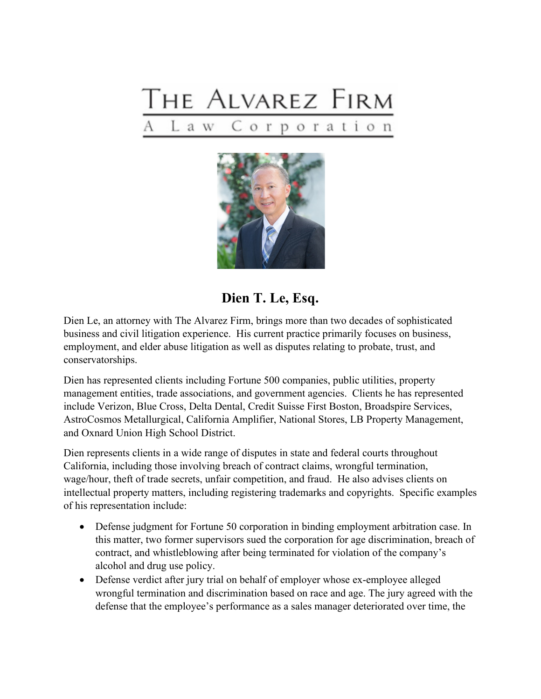



## **Dien T. Le, Esq.**

Dien Le, an attorney with The Alvarez Firm, brings more than two decades of sophisticated business and civil litigation experience. His current practice primarily focuses on business, employment, and elder abuse litigation as well as disputes relating to probate, trust, and conservatorships.

Dien has represented clients including Fortune 500 companies, public utilities, property management entities, trade associations, and government agencies. Clients he has represented include Verizon, Blue Cross, Delta Dental, Credit Suisse First Boston, Broadspire Services, AstroCosmos Metallurgical, California Amplifier, National Stores, LB Property Management, and Oxnard Union High School District.

Dien represents clients in a wide range of disputes in state and federal courts throughout California, including those involving breach of contract claims, wrongful termination, wage/hour, theft of trade secrets, unfair competition, and fraud. He also advises clients on intellectual property matters, including registering trademarks and copyrights. Specific examples of his representation include:

- Defense judgment for Fortune 50 corporation in binding employment arbitration case. In this matter, two former supervisors sued the corporation for age discrimination, breach of contract, and whistleblowing after being terminated for violation of the company's alcohol and drug use policy.
- Defense verdict after jury trial on behalf of employer whose ex-employee alleged wrongful termination and discrimination based on race and age. The jury agreed with the defense that the employee's performance as a sales manager deteriorated over time, the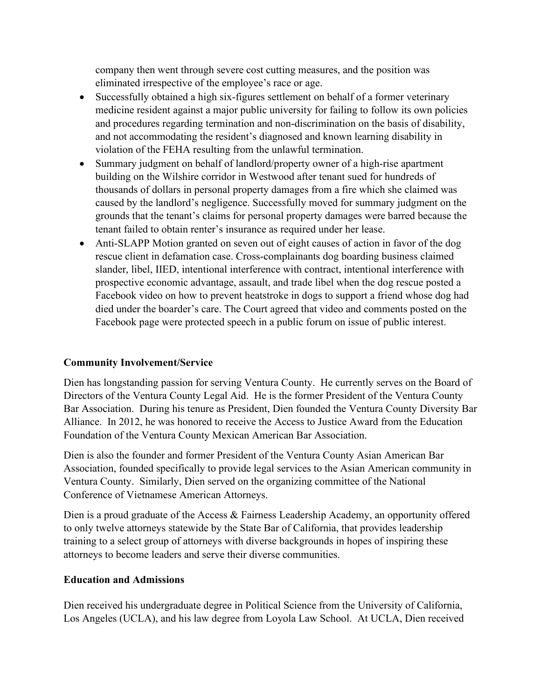company then went through severe cost cutting measures, and the position was eliminated irrespective of the employee's race or age.

- Successfully obtained a high six-figures settlement on behalf of a former veterinary medicine resident against a major public university for failing to follow its own policies and procedures regarding termination and non-discrimination on the basis of disability, and not accommodating the resident's diagnosed and known learning disability in violation of the FEHA resulting from the unlawful termination.
- Summary judgment on behalf of landlord/property owner of a high-rise apartment building on the Wilshire corridor in Westwood after tenant sued for hundreds of thousands of dollars in personal property damages from a fire which she claimed was caused by the landlord's negligence. Successfully moved for summary judgment on the grounds that the tenant's claims for personal property damages were barred because the tenant failed to obtain renter's insurance as required under her lease.
- Anti-SLAPP Motion granted on seven out of eight causes of action in favor of the dog rescue client in defamation case. Cross-complainants dog boarding business claimed slander, libel, IIED, intentional interference with contract, intentional interference with prospective economic advantage, assault, and trade libel when the dog rescue posted a Facebook video on how to prevent heatstroke in dogs to support a friend whose dog had died under the boarder's care. The Court agreed that video and comments posted on the Facebook page were protected speech in a public forum on issue of public interest.

## **Community Involvement/Service**

Dien has longstanding passion for serving Ventura County. He currently serves on the Board of Directors of the Ventura County Legal Aid. He is the former President of the Ventura County Bar Association. During his tenure as President, Dien founded the Ventura County Diversity Bar Alliance. In 2012, he was honored to receive the Access to Justice Award from the Education Foundation of the Ventura County Mexican American Bar Association.

Dien is also the founder and former President of the Ventura County Asian American Bar Association, founded specifically to provide legal services to the Asian American community in Ventura County. Similarly, Dien served on the organizing committee of the National Conference of Vietnamese American Attorneys.

Dien is a proud graduate of the Access & Fairness Leadership Academy, an opportunity offered to only twelve attorneys statewide by the State Bar of California, that provides leadership training to a select group of attorneys with diverse backgrounds in hopes of inspiring these attorneys to become leaders and serve their diverse communities.

## **Education and Admissions**

Dien received his undergraduate degree in Political Science from the University of California, Los Angeles (UCLA), and his law degree from Loyola Law School. At UCLA, Dien received